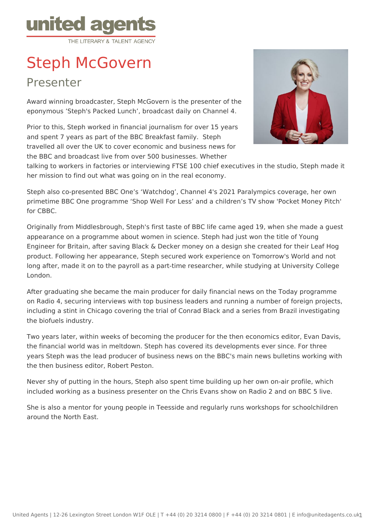

## Steph McGovern

Presenter

Award winning broadcaster, Steph McGovern is the presenter of the eponymous 'Steph's Packed Lunch', broadcast daily on Channel 4.

Prior to this, Steph worked in financial journalism for over 15 years and spent 7 years as part of the BBC Breakfast family. Steph travelled all over the UK to cover economic and business news for the BBC and broadcast live from over 500 businesses. Whether



talking to workers in factories or interviewing FTSE 100 chief executives in the studio, Steph made it her mission to find out what was going on in the real economy.

Steph also co-presented BBC One's 'Watchdog', Channel 4's 2021 Paralympics coverage, her own primetime BBC One programme 'Shop Well For Less' and a children's TV show 'Pocket Money Pitch' for CBBC.

Originally from Middlesbrough, Steph's first taste of BBC life came aged 19, when she made a guest appearance on a programme about women in science. Steph had just won the title of Young Engineer for Britain, after saving Black & Decker money on a design she created for their Leaf Hog product. Following her appearance, Steph secured work experience on Tomorrow's World and not long after, made it on to the payroll as a part-time researcher, while studying at University College London.

After graduating she became the main producer for daily financial news on the Today programme on Radio 4, securing interviews with top business leaders and running a number of foreign projects, including a stint in Chicago covering the trial of Conrad Black and a series from Brazil investigating the biofuels industry.

Two years later, within weeks of becoming the producer for the then economics editor, Evan Davis, the financial world was in meltdown. Steph has covered its developments ever since. For three years Steph was the lead producer of business news on the BBC's main news bulletins working with the then business editor, Robert Peston.

Never shy of putting in the hours, Steph also spent time building up her own on-air profile, which included working as a business presenter on the Chris Evans show on Radio 2 and on BBC 5 live.

She is also a mentor for young people in Teesside and regularly runs workshops for schoolchildren around the North East.